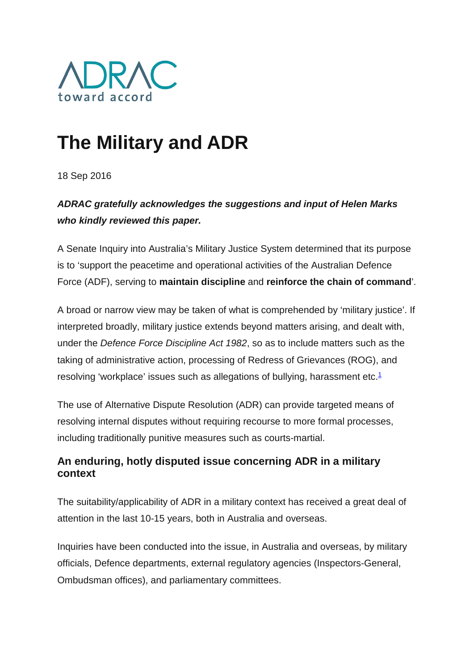

# **The Military and ADR**

18 Sep 2016

## *ADRAC gratefully acknowledges the suggestions and input of Helen Marks who kindly reviewed this paper.*

A Senate Inquiry into Australia's Military Justice System determined that its purpose is to 'support the peacetime and operational activities of the Australian Defence Force (ADF), serving to **maintain discipline** and **reinforce the chain of command**'.

A broad or narrow view may be taken of what is comprehended by 'military justice'. If interpreted broadly, military justice extends beyond matters arising, and dealt with, under the *Defence Force Discipline Act 1982*, so as to include matters such as the taking of administrative action, processing of Redress of Grievances (ROG), and resolving 'workplace' issues such as allegations of bullying, harassment etc.<sup>1</sup>

The use of Alternative Dispute Resolution (ADR) can provide targeted means of resolving internal disputes without requiring recourse to more formal processes, including traditionally punitive measures such as courts-martial.

### **An enduring, hotly disputed issue concerning ADR in a military context**

The suitability/applicability of ADR in a military context has received a great deal of attention in the last 10-15 years, both in Australia and overseas.

Inquiries have been conducted into the issue, in Australia and overseas, by military officials, Defence departments, external regulatory agencies (Inspectors-General, Ombudsman offices), and parliamentary committees.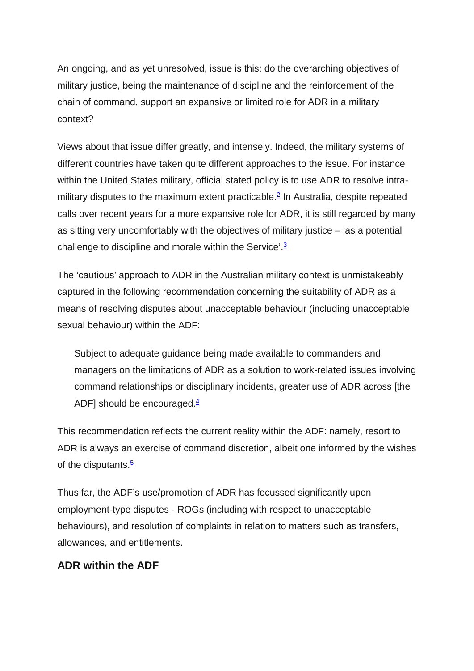An ongoing, and as yet unresolved, issue is this: do the overarching objectives of military justice, being the maintenance of discipline and the reinforcement of the chain of command, support an expansive or limited role for ADR in a military context?

Views about that issue differ greatly, and intensely. Indeed, the military systems of different countries have taken quite different approaches to the issue. For instance within the United States military, official stated policy is to use ADR to resolve intramilitary disputes to the maximum extent practicable.<sup>2</sup> In Australia, despite repeated calls over recent years for a more expansive role for ADR, it is still regarded by many as sitting very uncomfortably with the objectives of military justice – 'as a potential challenge to discipline and morale within the Service'. $3$ 

The 'cautious' approach to ADR in the Australian military context is unmistakeably captured in the following recommendation concerning the suitability of ADR as a means of resolving disputes about unacceptable behaviour (including unacceptable sexual behaviour) within the ADF:

Subject to adequate guidance being made available to commanders and managers on the limitations of ADR as a solution to work-related issues involving command relationships or disciplinary incidents, greater use of ADR across [the ADF] should be encouraged. $4$ 

This recommendation reflects the current reality within the ADF: namely, resort to ADR is always an exercise of command discretion, albeit one informed by the wishes of the disputants. $5$ 

Thus far, the ADF's use/promotion of ADR has focussed significantly upon employment-type disputes - ROGs (including with respect to unacceptable behaviours), and resolution of complaints in relation to matters such as transfers, allowances, and entitlements.

#### **ADR within the ADF**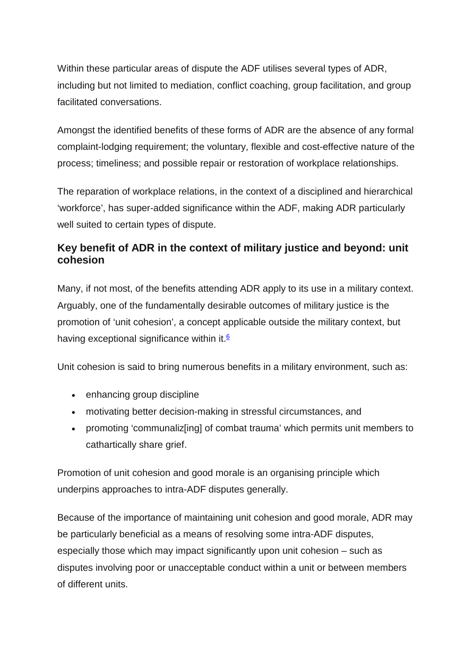Within these particular areas of dispute the ADF utilises several types of ADR, including but not limited to mediation, conflict coaching, group facilitation, and group facilitated conversations.

Amongst the identified benefits of these forms of ADR are the absence of any formal complaint-lodging requirement; the voluntary, flexible and cost-effective nature of the process; timeliness; and possible repair or restoration of workplace relationships.

The reparation of workplace relations, in the context of a disciplined and hierarchical 'workforce', has super-added significance within the ADF, making ADR particularly well suited to certain types of dispute.

#### **Key benefit of ADR in the context of military justice and beyond: unit cohesion**

Many, if not most, of the benefits attending ADR apply to its use in a military context. Arguably, one of the fundamentally desirable outcomes of military justice is the promotion of 'unit cohesion', a concept applicable outside the military context, but having exceptional significance within it. $6$ 

Unit cohesion is said to bring numerous benefits in a military environment, such as:

- enhancing group discipline
- motivating better decision-making in stressful circumstances, and
- promoting 'communaliz[ing] of combat trauma' which permits unit members to cathartically share grief.

Promotion of unit cohesion and good morale is an organising principle which underpins approaches to intra-ADF disputes generally.

Because of the importance of maintaining unit cohesion and good morale, ADR may be particularly beneficial as a means of resolving some intra-ADF disputes, especially those which may impact significantly upon unit cohesion – such as disputes involving poor or unacceptable conduct within a unit or between members of different units.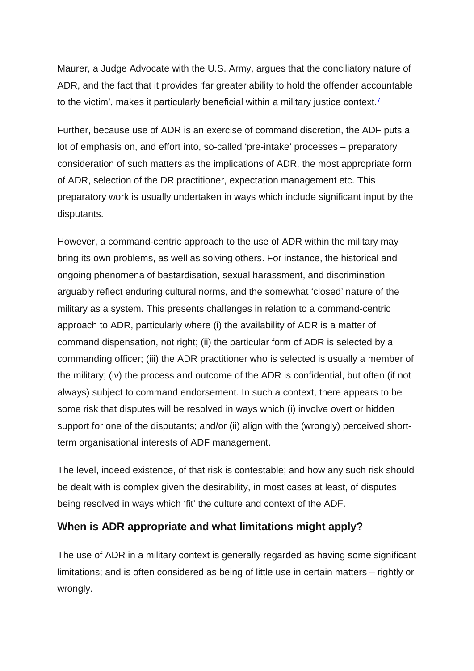Maurer, a Judge Advocate with the U.S. Army, argues that the conciliatory nature of ADR, and the fact that it provides 'far greater ability to hold the offender accountable to the victim', makes it particularly beneficial within a military justice context.<sup> $7$ </sup>

Further, because use of ADR is an exercise of command discretion, the ADF puts a lot of emphasis on, and effort into, so-called 'pre-intake' processes – preparatory consideration of such matters as the implications of ADR, the most appropriate form of ADR, selection of the DR practitioner, expectation management etc. This preparatory work is usually undertaken in ways which include significant input by the disputants.

However, a command-centric approach to the use of ADR within the military may bring its own problems, as well as solving others. For instance, the historical and ongoing phenomena of bastardisation, sexual harassment, and discrimination arguably reflect enduring cultural norms, and the somewhat 'closed' nature of the military as a system. This presents challenges in relation to a command-centric approach to ADR, particularly where (i) the availability of ADR is a matter of command dispensation, not right; (ii) the particular form of ADR is selected by a commanding officer; (iii) the ADR practitioner who is selected is usually a member of the military; (iv) the process and outcome of the ADR is confidential, but often (if not always) subject to command endorsement. In such a context, there appears to be some risk that disputes will be resolved in ways which (i) involve overt or hidden support for one of the disputants; and/or (ii) align with the (wrongly) perceived shortterm organisational interests of ADF management.

The level, indeed existence, of that risk is contestable; and how any such risk should be dealt with is complex given the desirability, in most cases at least, of disputes being resolved in ways which 'fit' the culture and context of the ADF.

#### **When is ADR appropriate and what limitations might apply?**

The use of ADR in a military context is generally regarded as having some significant limitations; and is often considered as being of little use in certain matters – rightly or wrongly.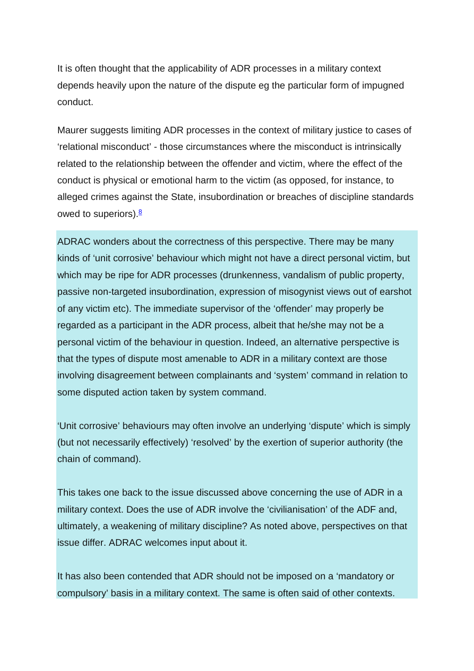It is often thought that the applicability of ADR processes in a military context depends heavily upon the nature of the dispute eg the particular form of impugned conduct.

Maurer suggests limiting ADR processes in the context of military justice to cases of 'relational misconduct' - those circumstances where the misconduct is intrinsically related to the relationship between the offender and victim, where the effect of the conduct is physical or emotional harm to the victim (as opposed, for instance, to alleged crimes against the State, insubordination or breaches of discipline standards owed to superiors). $8$ 

ADRAC wonders about the correctness of this perspective. There may be many kinds of 'unit corrosive' behaviour which might not have a direct personal victim, but which may be ripe for ADR processes (drunkenness, vandalism of public property, passive non-targeted insubordination, expression of misogynist views out of earshot of any victim etc). The immediate supervisor of the 'offender' may properly be regarded as a participant in the ADR process, albeit that he/she may not be a personal victim of the behaviour in question. Indeed, an alternative perspective is that the types of dispute most amenable to ADR in a military context are those involving disagreement between complainants and 'system' command in relation to some disputed action taken by system command.

'Unit corrosive' behaviours may often involve an underlying 'dispute' which is simply (but not necessarily effectively) 'resolved' by the exertion of superior authority (the chain of command).

This takes one back to the issue discussed above concerning the use of ADR in a military context. Does the use of ADR involve the 'civilianisation' of the ADF and, ultimately, a weakening of military discipline? As noted above, perspectives on that issue differ. ADRAC welcomes input about it.

It has also been contended that ADR should not be imposed on a 'mandatory or compulsory' basis in a military context. The same is often said of other contexts.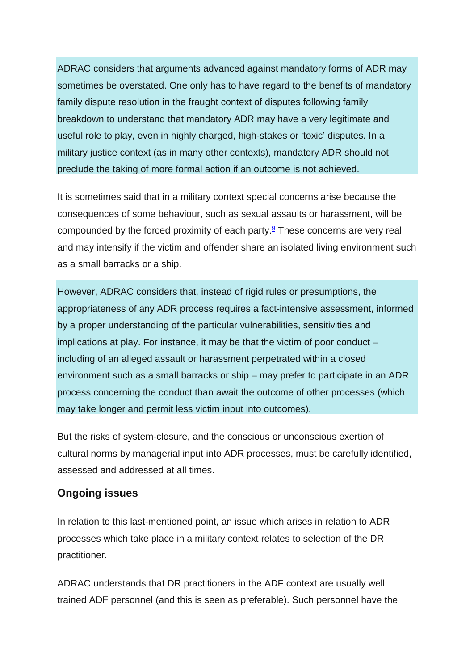ADRAC considers that arguments advanced against mandatory forms of ADR may sometimes be overstated. One only has to have regard to the benefits of mandatory family dispute resolution in the fraught context of disputes following family breakdown to understand that mandatory ADR may have a very legitimate and useful role to play, even in highly charged, high-stakes or 'toxic' disputes. In a military justice context (as in many other contexts), mandatory ADR should not preclude the taking of more formal action if an outcome is not achieved.

It is sometimes said that in a military context special concerns arise because the consequences of some behaviour, such as sexual assaults or harassment, will be compounded by the forced proximity of each party. $9$  These concerns are very real and may intensify if the victim and offender share an isolated living environment such as a small barracks or a ship.

However, ADRAC considers that, instead of rigid rules or presumptions, the appropriateness of any ADR process requires a fact-intensive assessment, informed by a proper understanding of the particular vulnerabilities, sensitivities and implications at play. For instance, it may be that the victim of poor conduct – including of an alleged assault or harassment perpetrated within a closed environment such as a small barracks or ship – may prefer to participate in an ADR process concerning the conduct than await the outcome of other processes (which may take longer and permit less victim input into outcomes).

But the risks of system-closure, and the conscious or unconscious exertion of cultural norms by managerial input into ADR processes, must be carefully identified, assessed and addressed at all times.

#### **Ongoing issues**

In relation to this last-mentioned point, an issue which arises in relation to ADR processes which take place in a military context relates to selection of the DR practitioner.

ADRAC understands that DR practitioners in the ADF context are usually well trained ADF personnel (and this is seen as preferable). Such personnel have the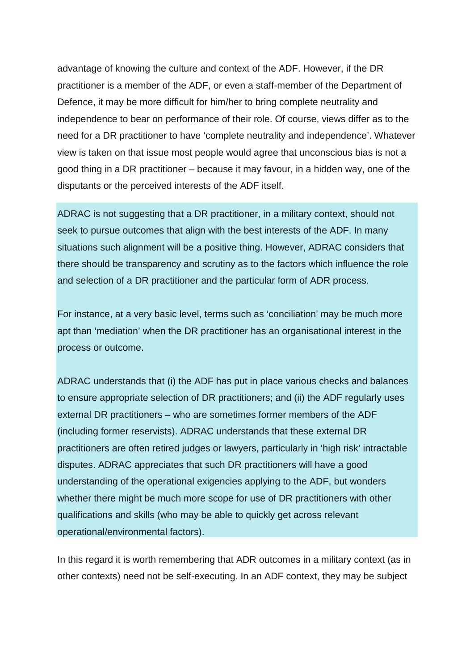advantage of knowing the culture and context of the ADF. However, if the DR practitioner is a member of the ADF, or even a staff-member of the Department of Defence, it may be more difficult for him/her to bring complete neutrality and independence to bear on performance of their role. Of course, views differ as to the need for a DR practitioner to have 'complete neutrality and independence'. Whatever view is taken on that issue most people would agree that unconscious bias is not a good thing in a DR practitioner – because it may favour, in a hidden way, one of the disputants or the perceived interests of the ADF itself.

ADRAC is not suggesting that a DR practitioner, in a military context, should not seek to pursue outcomes that align with the best interests of the ADF. In many situations such alignment will be a positive thing. However, ADRAC considers that there should be transparency and scrutiny as to the factors which influence the role and selection of a DR practitioner and the particular form of ADR process.

For instance, at a very basic level, terms such as 'conciliation' may be much more apt than 'mediation' when the DR practitioner has an organisational interest in the process or outcome.

ADRAC understands that (i) the ADF has put in place various checks and balances to ensure appropriate selection of DR practitioners; and (ii) the ADF regularly uses external DR practitioners – who are sometimes former members of the ADF (including former reservists). ADRAC understands that these external DR practitioners are often retired judges or lawyers, particularly in 'high risk' intractable disputes. ADRAC appreciates that such DR practitioners will have a good understanding of the operational exigencies applying to the ADF, but wonders whether there might be much more scope for use of DR practitioners with other qualifications and skills (who may be able to quickly get across relevant operational/environmental factors).

In this regard it is worth remembering that ADR outcomes in a military context (as in other contexts) need not be self-executing. In an ADF context, they may be subject